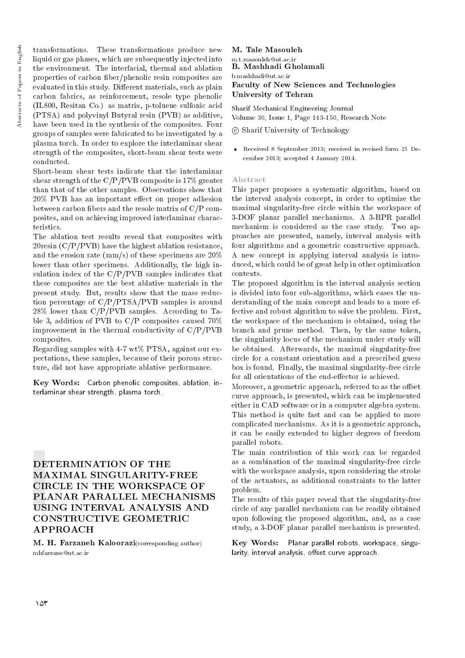Abstracts of Papers in English Abstracts of Papers in English

transformations. These transformations produce new liquid or gas phases, which are subsequently injected into the environment. The interfacial, thermal and ablation properties of carbon ber/phenolic resin composites are evaluated in this study. Different materials, such as plain carbon fabrics, as reinforcement, resole type phenolic (IL800, Resitan Co.) as matrix, p-toluene sulfonic acid (PTSA) and polyvinyl Butyral resin (PVB) as additive, have been used in the synthesis of the composites. Four groups of samples were fabricated to be investigated by a plasma torch. In order to explore the interlaminar shear strength of the composites, short-beam shear tests were conducted.

Short-beam shear tests indicate that the interlaminar shear strength of the C/P/PVB composite is 17% greater than that of the other samples. Observations show that  $20\%$  PVB has an important effect on proper adhesion between carbon bers and the resole matrix of C/P composites, and on achieving improved interlaminar characteristics.

The ablation test results reveal that composites with 20resin (C/P/PVB) have the highest ablation resistance, and the erosion rate (mm/s) of these specimens are 20% lower than other specimens. Additionally, the high insulation index of the C/P/PVB samples indicates that these composites are the best ablative materials in the present study. But, results show that the mass reduction percentage of C/P/PTSA/PVB samples is around  $28\%$  lower than C/P/PVB samples. According to Table 3, addition of PVB to C/P composites caused 70% improvement in the thermal conductivity of  $C/P/PVB$ composites.

Regarding samples with 4-7 wt% PTSA, against our expectations, these samples, because of their porous structure, did not have appropriate ablative performance.

Key Words: Carbon phenolic composites, ablation, interlaminar shear strength, plasma torch.

# DETERMINATION OF THE MAXIMAL SINGULARITY-FREE CIRCLE IN THE WORKSPACE OF PLANAR PARALLEL MECHANISMS USING INTERVAL ANALYSIS AND CONSTRUCTIVE GEOMETRIC APPROACH

M. H. Farzaneh Kaloorazi(corresponding author) mhfarzane@ut.ac.ir

## M. Tale Masouleh m.t.masouleh@ut.ac.ir B. Mashhadi Gholamali b.mashhadi@ut.ac.ir Faculty of New Sciences and Technologies University of Tehran

Sharif Mechanical Engineering Journal Volume 30, Issue 1, Page 143-150, Research Note

## c Sharif University of Technology

 Received 8 September 2013; received in revised form 25 December 2013; accepted 4 January 2014.

## Abstract

This paper proposes a systematic algorithm, based on the interval analysis concept, in order to optimize the maximal singularity-free circle within the workspace of 3-DOF planar parallel mechanisms. A 3-RPR parallel mechanism is considered as the case study. Two approaches are presented, namely, interval analysis with four algorithms and a geometric constructive approach. A new concept in applying interval analysis is introduced, which could be of great help in other optimization contexts.

The proposed algorithm in the interval analysis section is divided into four sub-algorithms, which eases the understanding of the main concept and leads to a more effective and robust algorithm to solve the problem. First, the workspace of the mechanism is obtained, using the branch and prune method. Then, by the same token, the singularity locus of the mechanism under study will be obtained. Afterwards, the maximal singularity-free circle for a constant orientation and a prescribed guess box is found. Finally, the maximal singularity-free circle for all orientations of the end-effector is achieved.

Moreover, a geometric approach, referred to as the offset curve approach, is presented, which can be implemented either in CAD software or in a computer algebra system. This method is quite fast and can be applied to more complicated mechanisms. As it is a geometric approach, it can be easily extended to higher degrees of freedom parallel robots.

The main contribution of this work can be regarded as a combination of the maximal singularity-free circle with the workspace analysis, upon considering the stroke of the actuators, as additional constraints to the latter problem.

The results of this paper reveal that the singularity-free circle of any parallel mechanism can be readily obtained upon following the proposed algorithm, and, as a case study, a 3-DOF planar parallel mechanism is presented.

Key Words: Planar parallel robots, workspace, singularity, interval analysis, offset curve approach.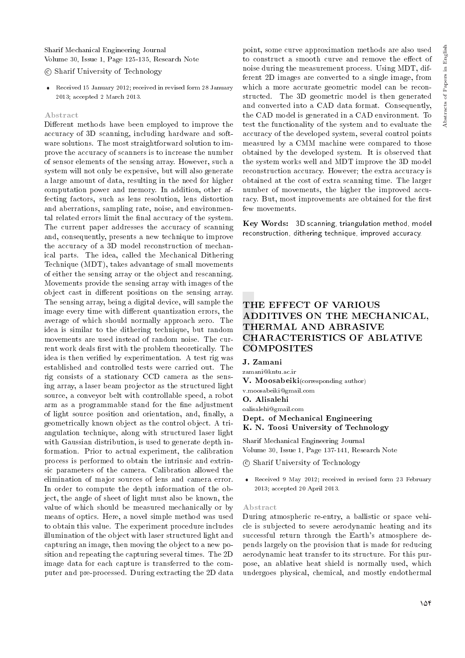Sharif Mechanical Engineering Journal Volume 30, Issue 1, Page 125-135, Research Note

## c Sharif University of Technology

 Received 15 January 2012; received in revised form 28 January 2013; accepted 2 March 2013.

#### Abstract

Different methods have been employed to improve the accuracy of 3D scanning, including hardware and software solutions. The most straightforward solution to improve the accuracy of scanners is to increase the number of sensor elements of the sensing array. However, such a system will not only be expensive, but will also generate a large amount of data, resulting in the need for higher computation power and memory. In addition, other affecting factors, such as lens resolution, lens distortion and aberrations, sampling rate, noise, and environmental related errors limit the final accuracy of the system. The current paper addresses the accuracy of scanning and, consequently, presents a new technique to improve the accuracy of a 3D model reconstruction of mechanical parts. The idea, called the Mechanical Dithering Technique (MDT), takes advantage of small movements of either the sensing array or the object and rescanning. Movements provide the sensing array with images of the object cast in different positions on the sensing array. The sensing array, being a digital device, will sample the image every time with different quantization errors, the average of which should normally approach zero. The idea is similar to the dithering technique, but random movements are used instead of random noise. The current work deals first with the problem theoretically. The idea is then verified by experimentation. A test rig was established and controlled tests were carried out. The rig consists of a stationary CCD camera as the sensing array, a laser beam projector as the structured light source, a conveyor belt with controllable speed, a robot arm as a programmable stand for the fine adjustment of light source position and orientation, and, finally, a geometrically known object as the control object. A triangulation technique, along with structured laser light with Gaussian distribution, is used to generate depth information. Prior to actual experiment, the calibration process is performed to obtain the intrinsic and extrinsic parameters of the camera. Calibration allowed the elimination of major sources of lens and camera error. In order to compute the depth information of the object, the angle of sheet of light must also be known, the value of which should be measured mechanically or by means of optics. Here, a novel simple method was used to obtain this value. The experiment procedure includes illumination of the object with laser structured light and capturing an image, then moving the object to a new position and repeating the capturing several times. The 2D image data for each capture is transferred to the computer and pre-processed. During extracting the 2D data

point, some curve approximation methods are also used to construct a smooth curve and remove the effect of noise during the measurement process. Using MDT, different 2D images are converted to a single image, from which a more accurate geometric model can be reconstructed. The 3D geometric model is then generated and converted into a CAD data format. Consequently, the CAD model is generated in a CAD environment. To test the functionality of the system and to evaluate the accuracy of the developed system, several control points measured by a CMM machine were compared to those obtained by the developed system. It is observed that the system works well and MDT improve the 3D model reconstruction accuracy. However; the extra accuracy is obtained at the cost of extra scanning time. The larger number of movements, the higher the improved accuracy. But, most improvements are obtained for the first few movements.

Key Words: 3D scanning, triangulation method, model reconstruction, dithering technique, improved accuracy.

# THE EFFECT OF VARIOUS ADDITIVES ON THE MECHANICAL, THERMAL AND ABRASIVE CHARACTERISTICS OF ABLATIVE **COMPOSITES**

J. Zamani

zamani@kntu.ac.ir

V. Moosabeiki(corresponding author)

v.moosabeiki@gmail.com

O. Alisalehi

oalisalehi@gmail.com

Dept. of Mechanical Engineering K. N. Toosi University of Technology

Sharif Mechanical Engineering Journal Volume 30, Issue 1, Page 137-141, Research Note

c Sharif University of Technology

 Received 9 May 2012; received in revised form 23 February 2013; accepted 20 April 2013.

#### Abstract

During atmospheric re-entry, a ballistic or space vehicle is subjected to severe aerodynamic heating and its successful return through the Earth's atmosphere depends largely on the provision that is made for reducing aerodynamic heat transfer to its structure. For this purpose, an ablative heat shield is normally used, which undergoes physical, chemical, and mostly endothermal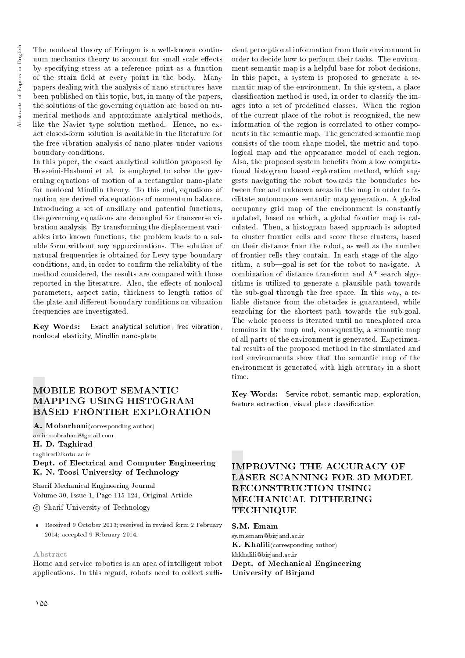The nonlocal theory of Eringen is a well-known continuum mechanics theory to account for small scale effects by specifying stress at a reference point as a function of the strain field at every point in the body. Many papers dealing with the analysis of nano-structures have been published on this topic, but, in many of the papers, the solutions of the governing equation are based on numerical methods and approximate analytical methods, like the Navier type solution method. Hence, no exact closed-form solution is available in the literature for the free vibration analysis of nano-plates under various boundary conditions.

In this paper, the exact analytical solution proposed by Hosseini-Hashemi et al. is employed to solve the governing equations of motion of a rectangular nano-plate for nonlocal Mindlin theory. To this end, equations of motion are derived via equations of momentum balance. Introducing a set of auxiliary and potential functions, the governing equations are decoupled for transverse vibration analysis. By transforming the displacement variables into known functions, the problem leads to a soluble form without any approximations. The solution of natural frequencies is obtained for Levy-type boundary conditions, and, in order to confirm the reliability of the method considered, the results are compared with those reported in the literature. Also, the effects of nonlocal parameters, aspect ratio, thickness to length ratios of the plate and different boundary conditions on vibration frequencies are investigated.

Key Words: Exact analytical solution, free vibration, nonlocal elasticity, Mindlin nano-plate.

# MOBILE ROBOT SEMANTIC MAPPING USING HISTOGRAM BASED FRONTIER EXPLORATION

A. Mobarhani(corresponding author) amir.mobrahani@gmail.com H. D. Taghirad

taghirad@kntu.ac.ir

Dept. of Electrical and Computer Engineering K. N. Toosi University of Technology

Sharif Mechanical Engineering Journal Volume 30, Issue 1, Page 115-124, Original Article

c Sharif University of Technology

 Received 9 October 2013; received in revised form 2 February 2014; accepted 9 February 2014.

#### Abstract

Home and service robotics is an area of intelligent robot applications. In this regard, robots need to collect suffi-

cient perceptional information from their environment in order to decide how to perform their tasks. The environment semantic map is a helpful base for robot decisions. In this paper, a system is proposed to generate a semantic map of the environment. In this system, a place classication method is used, in order to classify the images into a set of predened classes. When the region of the current place of the robot is recognized, the new information of the region is correlated to other components in the semantic map. The generated semantic map consists of the room shape model, the metric and topological map and the appearance model of each region. Also, the proposed system benefits from a low computational histogram based exploration method, which suggests navigating the robot towards the boundaries between free and unknown areas in the map in order to facilitate autonomous semantic map generation. A global occupancy grid map of the environment is constantly updated, based on which, a global frontier map is calculated. Then, a histogram based approach is adopted to cluster frontier cells and score these clusters, based on their distance from the robot, as well as the number of frontier cells they contain. In each stage of the algorithm, a sub-goal is set for the robot to navigate. A combination of distance transform and A\* search algorithms is utilized to generate a plausible path towards the sub-goal through the free space. In this way, a reliable distance from the obstacles is guaranteed, while searching for the shortest path towards the sub-goal. The whole process is iterated until no unexplored area remains in the map and, consequently, a semantic map of all parts of the environment is generated. Experimental results of the proposed method in the simulated and real environments show that the semantic map of the environment is generated with high accuracy in a short time.

Key Words: Service robot, semantic map, exploration, feature extraction, visual place classication.

# IMPROVING THE ACCURACY OF LASER SCANNING FOR 3D MODEL RECONSTRUCTION USING MECHANICAL DITHERING **TECHNIQUE**

S.M. Emam

sy.m.emam@birjand.ac.ir K. Khalili(corresponding author) khkhalili@birjand.ac.ir Dept. of Mechanical Engineering University of Birjand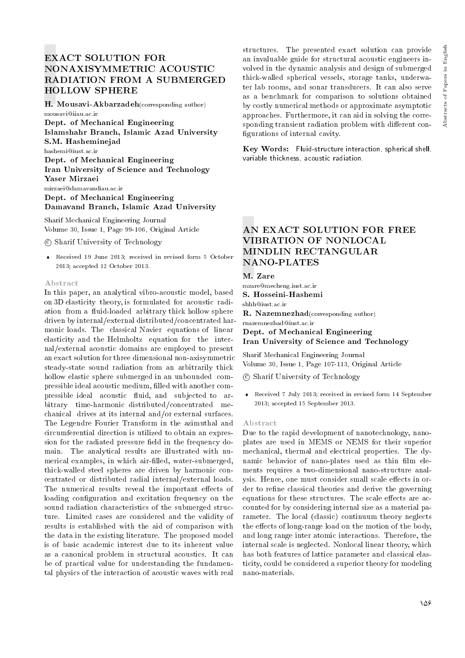H. Mousavi-Akbarzadeh(corresponding author) mousavi@iiau.ac.ir

Dept. of Mechanical Engineering Islamshahr Branch, Islamic Azad University S.M. Hasheminejad hashemi@iust.ac.ir Dept. of Mechanical Engineering Iran University of Science and Technology Yaser Mirzaei mirzaei@damavandiau.ac.ir Dept. of Mechanical Engineering

Damavand Branch, Islamic Azad University

Sharif Mechanical Engineering Journal Volume 30, Issue 1, Page 99-106, Original Article

c Sharif University of Technology

 Received 19 June 2013; received in revised form 5 October 2013; accepted 12 October 2013.

#### Abstract

In this paper, an analytical vibro-acoustic model, based on 3D elasticity theory, is formulated for acoustic radiation from a fluid-loaded arbitrary thick hollow sphere driven by internal/external distributed/concentrated harmonic loads. The classical Navier equations of linear elasticity and the Helmholtz equation for the internal/external acoustic domains are employed to present an exact solution for three dimensional non-axisymmetric steady-state sound radiation from an arbitrarily thick hollow elastic sphere submerged in an unbounded compressible ideal acoustic medium, filled with another compressible ideal acoustic fluid, and subjected to arbitrary time-harmonic distributed/concentrated mechanical drives at its internal and/or external surfaces. The Legendre Fourier Transform in the azimuthal and circumferential direction is utilized to obtain an expression for the radiated pressure field in the frequency domain. The analytical results are illustrated with numerical examples, in which air-filled, water-submerged, thick-walled steel spheres are driven by harmonic concentrated or distributed radial internal/external loads. The numerical results reveal the important effects of loading configuration and excitation frequency on the sound radiation characteristics of the submerged structure. Limited cases are considered and the validity of results is established with the aid of comparison with the data in the existing literature. The proposed model is of basic academic interest due to its inherent value as a canonical problem in structural acoustics. It can be of practical value for understanding the fundamental physics of the interaction of acoustic waves with real

structures. The presented exact solution can provide an invaluable guide for structural acoustic engineers involved in the dynamic analysis and design of submerged thick-walled spherical vessels, storage tanks, underwater lab rooms, and sonar transducers. It can also serve as a benchmark for comparison to solutions obtained by costly numerical methods or approximate asymptotic approaches. Furthermore, it can aid in solving the corresponding transient radiation problem with different configurations of internal cavity.

Key Words: Fluid-structure interaction, spherical shell, variable thickness, acoustic radiation.

# AN EXACT SOLUTION FOR FREE VIBRATION OF NONLOCAL MINDLIN RECTANGULAR NANO-PLATES

## M. Zare

mzare@mecheng.iust.ac.ir

S. Hosseini-Hashemi

shhh@iust.ac.ir

R. Nazemnezhad(corresponding author) rnazemnezhad@iust.ac.ir

Dept. of Mechanical Engineering Iran University of Science and Technology

Sharif Mechanical Engineering Journal Volume 30, Issue 1, Page 107-113, Original Article

c Sharif University of Technology

 Received 7 July 2013; received in revised form 14 September 2013; accepted 15 September 2013.

#### Abstract

Due to the rapid development of nanotechnology, nanoplates are used in MEMS or NEMS for their superior mechanical, thermal and electrical properties. The dynamic behavior of nano-plates used as thin film elements requires a two-dimensional nano-structure analysis. Hence, one must consider small scale effects in order to refine classical theories and derive the governing equations for these structures. The scale effects are accounted for by considering internal size as a material parameter. The local (classic) continuum theory neglects the effects of long-range load on the motion of the body, and long range inter atomic interactions. Therefore, the internal scale is neglected. Nonlocal linear theory, which has both features of lattice parameter and classical elasticity, could be considered a superior theory for modeling nano-materials.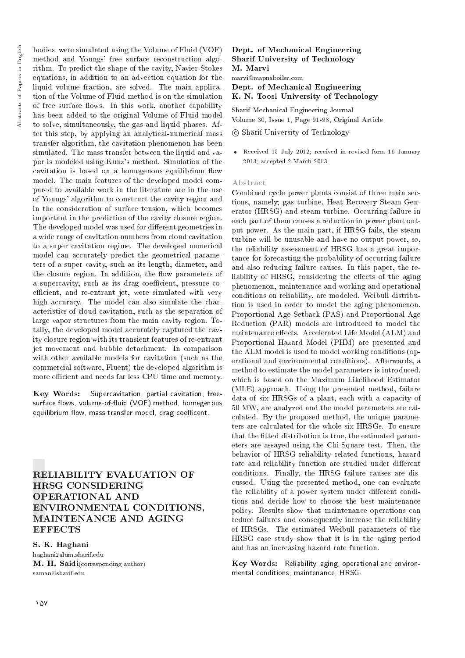bodies were simulated using the Volume of Fluid (VOF) method and Youngs' free surface reconstruction algorithm. To predict the shape of the cavity, Navier-Stokes equations, in addition to an advection equation for the liquid volume fraction, are solved. The main application of the Volume of Fluid method is on the simulation of free surface flows. In this work, another capability has been added to the original Volume of Fluid model to solve, simultaneously, the gas and liquid phases. After this step, by applying an analytical-numerical mass transfer algorithm, the cavitation phenomenon has been simulated. The mass transfer between the liquid and vapor is modeled using Kunz's method. Simulation of the cavitation is based on a homogenous equilibrium flow model. The main features of the developed model compared to available work in the literature are in the use of Youngs' algorithm to construct the cavity region and in the consideration of surface tension, which becomes important in the prediction of the cavity closure region. The developed model was used for different geometries in a wide range of cavitation numbers from cloud cavitation to a super cavitation regime. The developed numerical model can accurately predict the geometrical parameters of a super cavity, such as its length, diameter, and the closure region. In addition, the flow parameters of a supercavity, such as its drag coefficient, pressure coefficient, and re-entrant jet, were simulated with very high accuracy. The model can also simulate the characteristics of cloud cavitation, such as the separation of large vapor structures from the main cavity region. Totally, the developed model accurately captured the cavity closure region with its transient features of re-entrant jet movement and bubble detachment. In comparison with other available models for cavitation (such as the commercial software, Fluent) the developed algorithm is more efficient and needs far less CPU time and memory.

Key Words: Supercavitation, partial cavitation, freesurface flows, volume-of-fluid (VOF) method, homegenous equilibrium flow, mass transfer model, drag coefficent.

RELIABILITY EVALUATION OF HRSG CONSIDERING OPERATIONAL AND ENVIRONMENTAL CONDITIONS, MAINTENANCE AND AGING **EFFECTS** 

## S. K. Haghani

haghani2alum.sharif.edu M. H. Saidi(corresponding author) saman@sharif.edu

## Dept. of Mechanical Engineering Sharif University of Technology M. Marvi

marvi@mapnaboiler.com

Dept. of Mechanical Engineering K. N. Toosi University of Technology

Sharif Mechanical Engineering Journal Volume 30, Issue 1, Page 91-98, Original Article

c Sharif University of Technology

 Received 15 July 2012; received in revised form 16 January 2013; accepted 2 March 2013.

#### Abstract

Combined cycle power plants consist of three main sections, namely; gas turbine, Heat Recovery Steam Generator (HRSG) and steam turbine. Occurring failure in each part of them causes a reduction in power plant output power. As the main part, if HRSG fails, the steam turbine will be unusable and have no output power, so, the reliability assessment of HRSG has a great importance for forecasting the probability of occurring failure and also reducing failure causes. In this paper, the reliability of HRSG, considering the effects of the aging phenomenon, maintenance and working and operational conditions on reliability, are modeled. Weibull distribution is used in order to model the aging phenomenon. Proportional Age Setback (PAS) and Proportional Age Reduction (PAR) models are introduced to model the maintenance effects. Accelerated Life Model (ALM) and Proportional Hazard Model (PHM) are presented and the ALM model is used to model working conditions (operational and environmental conditions). Afterwards, a method to estimate the model parameters is introduced, which is based on the Maximum Likelihood Estimator (MLE) approach. Using the presented method, failure data of six HRSGs of a plant, each with a capacity of 50 MW, are analyzed and the model parameters are calculated. By the proposed method, the unique parameters are calculated for the whole six HRSGs. To ensure that the fitted distribution is true, the estimated parameters are assayed using the Chi-Square test. Then, the behavior of HRSG reliability related functions, hazard rate and reliability function are studied under different conditions. Finally, the HRSG failure causes are discussed. Using the presented method, one can evaluate the reliability of a power system under different conditions and decide how to choose the best maintenance policy. Results show that maintenance operations can reduce failures and consequently increase the reliability of HRSGs. The estimated Weibull parameters of the HRSG case study show that it is in the aging period and has an increasing hazard rate function.

Key Words: Reliability, aging, operational and environmental conditions, maintenance, HRSG.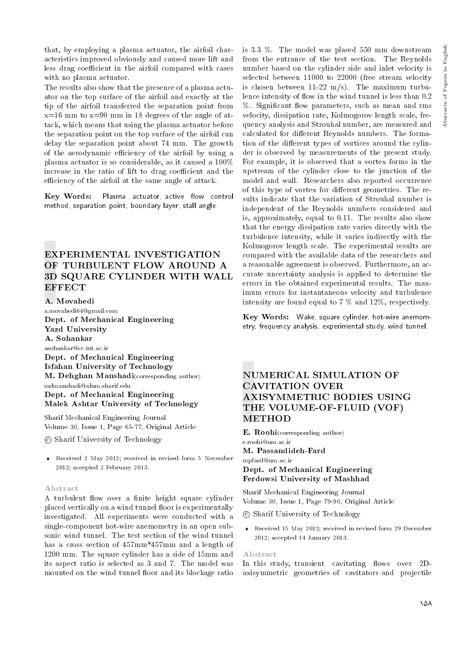that, by employing a plasma actuator, the airfoil characteristics improved obviously and caused more lift and less drag coefficient in the airfoil compared with cases with no plasma actuator.

The results also show that the presence of a plasma actuator on the top surface of the airfoil and exactly at the tip of the airfoil transferred the separation point from  $x=16$  mm to  $x=90$  mm in 18 degrees of the angle of attack, which means that using the plasma actuator before the separation point on the top surface of the airfoil can delay the separation point about 74 mm. The growth of the aerodynamic efficiency of the airfoil by using a plasma actuator is so considerable, as it caused a 100% increase in the ratio of lift to drag coefficient and the efficiency of the airfoil at the same angle of attack.

Key Words: Plasma actuator, active flow control method, separation point, boundary layer, stall angle.

# EXPERIMENTAL INVESTIGATION OF TURBULENT FLOW AROUND A 3D SQUARE CYLINDER WITH WALL **EFFECT**

A. Movahedi a.movahedi64@gmail.com Dept. of Mechanical Engineering Yazd University A. Sohankar asohankar@cc.iut.ac.ir Dept. of Mechanical Engineering Isfahan University of Technology M. Dehghan Manshadi(corresponding author) mdmanshadi@alum.sharif.edu Dept. of Mechanical Engineering Malek Ashtar University of Technology

Sharif Mechanical Engineering Journal Volume 30, Issue 1, Page 65-77, Original Article

c Sharif University of Technology

 Received 2 May 2012; received in revised form 5 November 2012; accepted 2 February 2013.

#### Abstract

A turbulent flow over a finite height square cylinder placed vertically on a wind tunnel floor is experimentally investigated. All experiments were conducted with a single-component hot-wire anemometry in an open subsonic wind tunnel. The test section of the wind tunnel has a cross section of 457mm\*457mm and a length of 1200 mm. The square cylinder has a side of 15mm and its aspect ratio is selected as 3 and 7. The model was mounted on the wind tunnel floor and its blockage ratio

is 3.3 %. The model was placed 550 mm downstream from the entrance of the test section. The Reynolds number based on the cylinder side and inlet velocity is selected between 11000 to 22000 (free stream velocity is chosen between  $11-22$  m/s). The maximum turbulence intensity of flow in the wind tunnel is less than 0.2 %. Significant flow parameters, such as mean and rms velocity, dissipation rate, Kolmogorov length scale, frequency analysis and Strouhal number, are measured and calculated for different Reynolds numbers. The formation of the different types of vortices around the cylinder is observed by measurements of the present study. For example, it is observed that a vortex forms in the upstream of the cylinder close to the junction of the model and wall. Researchers also reported occurrence of this type of vortex for different geometries. The results indicate that the variation of Strouhal number is independent of the Reynolds numbers considered and is, approximately, equal to 0.11. The results also show that the energy dissipation rate varies directly with the turbulence intensity, while it varies indirectly with the Kolmogorov length scale. The experimental results are compared with the available data of the researchers and a reasonable agreement is observed. Furthermore, an accurate uncertainty analysis is applied to determine the errors in the obtained experimental results. The maximum errors for instantaneous velocity and turbulence intensity are found equal to 7 % and 12%, respectively.

Key Words: Wake, square cylinder, hot-wire anemometry, frequency analysis, experimental study, wind tunnel.

# NUMERICAL SIMULATION OF CAVITATION OVER AXISYMMETRIC BODIES USING THE VOLUME-OF-FLUID (VOF) METHOD

E. Roohi(corresponding author) e.roohi@um.ac.ir

M. Passandideh-Fard mpfard@um.ac.ir Dept. of Mechanical Engineering Ferdowsi University of Mashhad

Sharif Mechanical Engineering Journal Volume 30, Issue 1, Page 79-90, Original Article

- c Sharif University of Technology
- Received 15 May 2012; received in revised form 29 December 2012; accepted 14 January 2013.

#### Abstract

In this study, transient cavitating flows over 2Daxisymmetric geometries of cavitators and projectile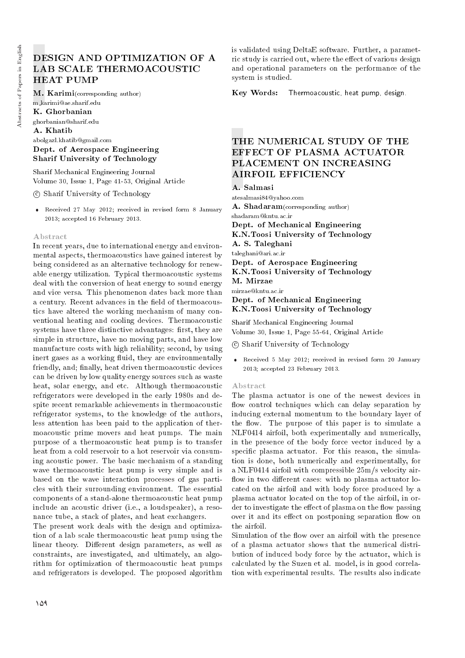# DESIGN AND OPTIMIZATION OF A LAB SCALE THERMOACOUSTIC HEAT PUMP

M. Karimi(corresponding author) m karimi@ae.sharif.edu K. Ghorbanian ghorbanian@sharif.edu A. Khatib abolgazl.khatib@gmail.com

Dept. of Aerospace Engineering Sharif University of Technology

Sharif Mechanical Engineering Journal Volume 30, Issue 1, Page 41-53, Original Article

c Sharif University of Technology

 Received 27 May 2012; received in revised form 8 January 2013; accepted 16 February 2013.

#### Abstract

In recent years, due to international energy and environmental aspects, thermoacoustics have gained interest by being considered as an alternative technology for renewable energy utilization. Typical thermoacoustic systems deal with the conversion of heat energy to sound energy and vice versa. This phenomenon dates back more than a century. Recent advances in the field of thermoacoustics have altered the working mechanism of many conventional heating and cooling devices. Thermoacoustic systems have three distinctive advantages: first, they are simple in structure, have no moving parts, and have low manufacture costs with high reliability; second, by using inert gases as a working fluid, they are environmentally friendly, and; finally, heat driven thermoacoustic devices can be driven by low quality energy sources such as waste heat, solar energy, and etc. Although thermoacoustic refrigerators were developed in the early 1980s and despite recent remarkable achievements in thermoacoustic refrigerator systems, to the knowledge of the authors, less attention has been paid to the application of thermoacoustic prime movers and heat pumps. The main purpose of a thermoacoustic heat pump is to transfer heat from a cold reservoir to a hot reservoir via consuming acoustic power. The basic mechanism of a standing wave thermoacoustic heat pump is very simple and is based on the wave interaction processes of gas particles with their surrounding environment. The essential components of a stand-alone thermoacoustic heat pump include an acoustic driver (i.e., a loudspeaker), a resonance tube, a stack of plates, and heat exchangers.

The present work deals with the design and optimization of a lab scale thermoacoustic heat pump using the linear theory. Different design parameters, as well as constraints, are investigated, and ultimately, an algorithm for optimization of thermoacoustic heat pumps and refrigerators is developed. The proposed algorithm

is validated using DeltaE software. Further, a parametric study is carried out, where the effect of various design and operational parameters on the performance of the system is studied.

Key Words: Thermoacoustic, heat pump, design.

# THE NUMERICAL STUDY OF THE EFFECT OF PLASMA ACTUATOR PLACEMENT ON INCREASING AIRFOIL EFFICIENCY

A. Salmasi atesalmasi84@yahoo.com A. Shadaram(corresponding author) shadaram@kntu.ac.ir Dept. of Mechanical Engineering K.N.Toosi University of Technology A. S. Taleghani taleghani@ari.ac.ir Dept. of Aerospace Engineering K.N.Toosi University of Technology M. Mirzae mirzae@kntu.ac.ir Dept. of Mechanical Engineering K.N.Toosi University of Technology

Sharif Mechanical Engineering Journal Volume 30, Issue 1, Page 55-64, Original Article

c Sharif University of Technology

 Received 5 May 2012; received in revised form 20 January 2013; accepted 23 February 2013.

#### Abstract

The plasma actuator is one of the newest devices in flow control techniques which can delay separation by inducing external momentum to the boundary layer of the flow. The purpose of this paper is to simulate a NLF0414 airfoil, both experimentally and numerically, in the presence of the body force vector induced by a specific plasma actuator. For this reason, the simulation is done, both numerically and experimentally, for a NLF0414 airfoil with compressible 25m/s velocity air flow in two different cases: with no plasma actuator located on the airfoil and with body force produced by a plasma actuator located on the top of the airfoil, in order to investigate the effect of plasma on the flow passing over it and its effect on postponing separation flow on the airfoil.

Simulation of the flow over an airfoil with the presence of a plasma actuator shows that the numerical distribution of induced body force by the actuator, which is calculated by the Suzen et al. model, is in good correlation with experimental results. The results also indicate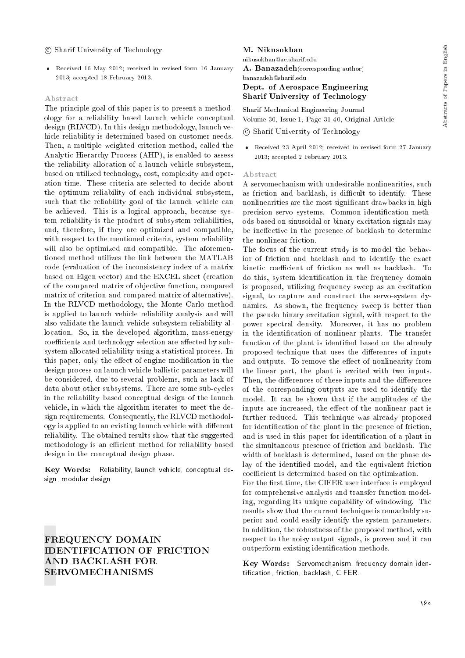## c Sharif University of Technology

 Received 16 May 2012; received in revised form 16 January 2013; accepted 18 February 2013.

#### Abstract

The principle goal of this paper is to present a methodology for a reliability based launch vehicle conceptual design (RLVCD). In this design methodology, launch vehicle reliability is determined based on customer needs. Then, a multiple weighted criterion method, called the Analytic Hierarchy Process (AHP), is enabled to assess the reliability allocation of a launch vehicle subsystem, based on utilized technology, cost, complexity and operation time. These criteria are selected to decide about the optimum reliability of each individual subsystem, such that the reliability goal of the launch vehicle can be achieved. This is a logical approach, because system reliability is the product of subsystem reliabilities, and, therefore, if they are optimized and compatible, with respect to the mentioned criteria, system reliability will also be optimized and compatible. The aforementioned method utilizes the link between the MATLAB code (evaluation of the inconsistency index of a matrix based on Eigen vector) and the EXCEL sheet (creation of the compared matrix of objective function, compared matrix of criterion and compared matrix of alternative). In the RLVCD methodology, the Monte Carlo method is applied to launch vehicle reliability analysis and will also validate the launch vehicle subsystem reliability allocation. So, in the developed algorithm, mass-energy coefficients and technology selection are affected by subsystem allocated reliability using a statistical process. In this paper, only the effect of engine modification in the design process on launch vehicle ballistic parameters will be considered, due to several problems, such as lack of data about other subsystems. There are some sub-cycles in the reliability based conceptual design of the launch vehicle, in which the algorithm iterates to meet the design requirements. Consequently, the RLVCD methodology is applied to an existing launch vehicle with different reliability. The obtained results show that the suggested methodology is an efficient method for reliability based design in the conceptual design phase.

Key Words: Reliability, launch vehicle, conceptual design, modular design.

FREQUENCY DOMAIN IDENTIFICATION OF FRICTION AND BACKLASH FOR SERVOMECHANISMS

#### M. Nikusokhan

nikusokhan@ae.sharif.edu

A. Banazadeh(corresponding author)

## banazadeh@sharif.edu

## Dept. of Aerospace Engineering Sharif University of Technology

Sharif Mechanical Engineering Journal Volume 30, Issue 1, Page 31-40, Original Article

## c Sharif University of Technology

 Received 23 April 2012; received in revised form 27 January 2013; accepted 2 February 2013.

#### Abstract

A servomechanism with undesirable nonlinearities, such as friction and backlash, is difficult to identify. These nonlinearities are the most signicant drawbacks in high precision servo systems. Common identification methods based on sinusoidal or binary excitation signals may be ineffective in the presence of backlash to determine the nonlinear friction.

The focus of the current study is to model the behavior of friction and backlash and to identify the exact kinetic coefficient of friction as well as backlash. To do this, system identication in the frequency domain is proposed, utilizing frequency sweep as an excitation signal, to capture and construct the servo-system dynamics. As shown, the frequency sweep is better than the pseudo binary excitation signal, with respect to the power spectral density. Moreover, it has no problem in the identication of nonlinear plants. The transfer function of the plant is identified based on the already proposed technique that uses the differences of inputs and outputs. To remove the effect of nonlinearity from the linear part, the plant is excited with two inputs. Then, the differences of these inputs and the differences of the corresponding outputs are used to identify the model. It can be shown that if the amplitudes of the inputs are increased, the effect of the nonlinear part is further reduced. This technique was already proposed for identication of the plant in the presence of friction, and is used in this paper for identication of a plant in the simultaneous presence of friction and backlash. The width of backlash is determined, based on the phase delay of the identified model, and the equivalent friction coefficient is determined based on the optimization. For the first time, the CIFER user interface is employed for comprehensive analysis and transfer function modeling, regarding its unique capability of windowing. The

results show that the current technique is remarkably superior and could easily identify the system parameters. In addition, the robustness of the proposed method, with respect to the noisy output signals, is proven and it can outperform existing identification methods.

Key Words: Servomechanism, frequency domain identication, friction, backlash, CIFER.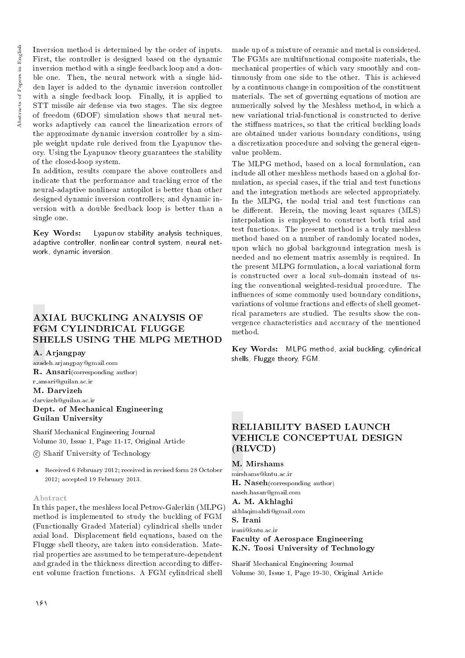Abstracts of Papers in English Abstracts of Papers in English Inversion method is determined by the order of inputs. First, the controller is designed based on the dynamic inversion method with a single feedback loop and a double one. Then, the neural network with a single hidden layer is added to the dynamic inversion controller with a single feedback loop. Finally, it is applied to STT missile air defense via two stages. The six degree of freedom (6DOF) simulation shows that neural networks adaptively can cancel the linearization errors of the approximate dynamic inversion controller by a simple weight update rule derived from the Lyapunov theory. Using the Lyapunov theory guarantees the stability of the closed-loop system.

In addition, results compare the above controllers and indicate that the performance and tracking error of the neural-adaptive nonlinear autopilot is better than other designed dynamic inversion controllers; and dynamic inversion with a double feedback loop is better than a single one.

Key Words: Lyapunov stability analysis techniques, adaptive controller, nonlinear control system, neural network, dynamic inversion.

# AXIAL BUCKLING ANALYSIS OF FGM CYLINDRICAL FLUGGE SHELLS USING THE MLPG METHOD

A. Arjangpay

azadeh.arjangpay@gmail.com R. Ansari(corresponding author) r ansari@guilan.ac.ir

M. Darvizeh darvizeh@guilan.ac.ir Dept. of Mechanical Engineering Guilan University

Sharif Mechanical Engineering Journal Volume 30, Issue 1, Page 11-17, Original Article

c Sharif University of Technology

 Received 6 February 2012; received in revised form 28 October 2012; accepted 19 February 2013.

## Abstract

In this paper, the meshless local Petrov-Galerkin (MLPG) method is implemented to study the buckling of FGM (Functionally Graded Material) cylindrical shells under axial load. Displacement field equations, based on the Flugge shell theory, are taken into consideration. Material properties are assumed to be temperature-dependent and graded in the thickness direction according to different volume fraction functions. A FGM cylindrical shell

made up of a mixture of ceramic and metal is considered. The FGMs are multifunctional composite materials, the mechanical properties of which vary smoothly and continuously from one side to the other. This is achieved by a continuous change in composition of the constituent materials. The set of governing equations of motion are numerically solved by the Meshless method, in which a new variational trial-functional is constructed to derive the stiffness matrices, so that the critical buckling loads are obtained under various boundary conditions, using a discretization procedure and solving the general eigenvalue problem.

The MLPG method, based on a local formulation, can include all other meshless methods based on a global formulation, as special cases, if the trial and test functions and the integration methods are selected appropriately. In the MLPG, the nodal trial and test functions can be different. Herein, the moving least squares (MLS) interpolation is employed to construct both trial and test functions. The present method is a truly meshless method based on a number of randomly located nodes, upon which no global background integration mesh is needed and no element matrix assembly is required. In the present MLPG formulation, a local variational form is constructed over a local sub-domain instead of using the conventional weighted-residual procedure. The influences of some commonly used boundary conditions, variations of volume fractions and effects of shell geometrical parameters are studied. The results show the convergence characteristics and accuracy of the mentioned method.

Key Words: MLPG method, axial buckling, cylindrical shells, Flugge theory, FGM.

# RELIABILITY BASED LAUNCH VEHICLE CONCEPTUAL DESIGN (RLVCD)

M. Mirshams mirshams@kntu.ac.ir H. Naseh(corresponding author) naseh.hasan@gmail.com A. M. Akhlaghi akhlaqimahdi@gmail.com S. Irani irani@kntu.ac.ir

Faculty of Aerospace Engineering K.N. Toosi University of Technology

Sharif Mechanical Engineering Journal Volume 30, Issue 1, Page 19-30, Original Article